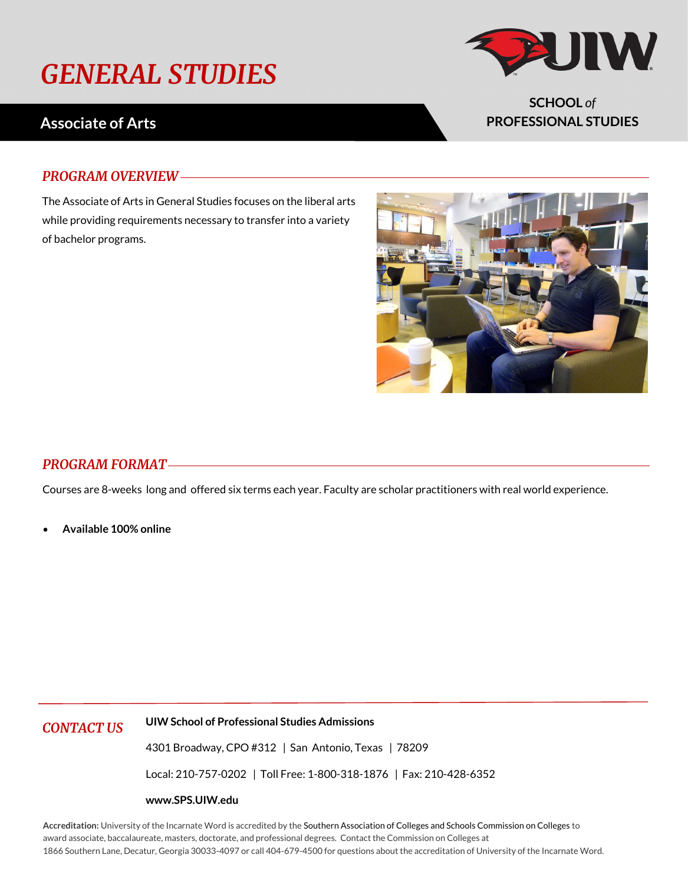# *GENERAL STUDIES*

## **Associate of Arts**

### *PROGRAM OVERVIEW*

The Associate of Arts in General Studies focuses on the liberal arts while providing requirements necessary to transfer into a variety of bachelor programs.

### *PROGRAM FORMAT*

Courses are 8-weeks long and offered six terms each year. Faculty are scholar practitioners with real world experience.

• **Available 100% online**

*CONTACT US* **UIW School of Professional Studies Admissions**

4301 Broadway, CPO #312 | San Antonio, Texas | 78209

Local: 210-757-0202 | Toll Free: 1-800-318-1876 | Fax: 210-428-6352

#### **www.SPS.UIW.edu**

**Accreditation:** University of the Incarnate Word is accredited by the Southern Association of Colleges and Schools Commission on Colleges to award associate, baccalaureate, masters, doctorate, and professional degrees. Contact the Commission on Colleges at 1866 Southern Lane, Decatur, Georgia 30033-4097 or call 404-679-4500 for questions about the accreditation of University of the Incarnate Word.





**SCHOOL** *of* **PROFESSIONAL STUDIES**